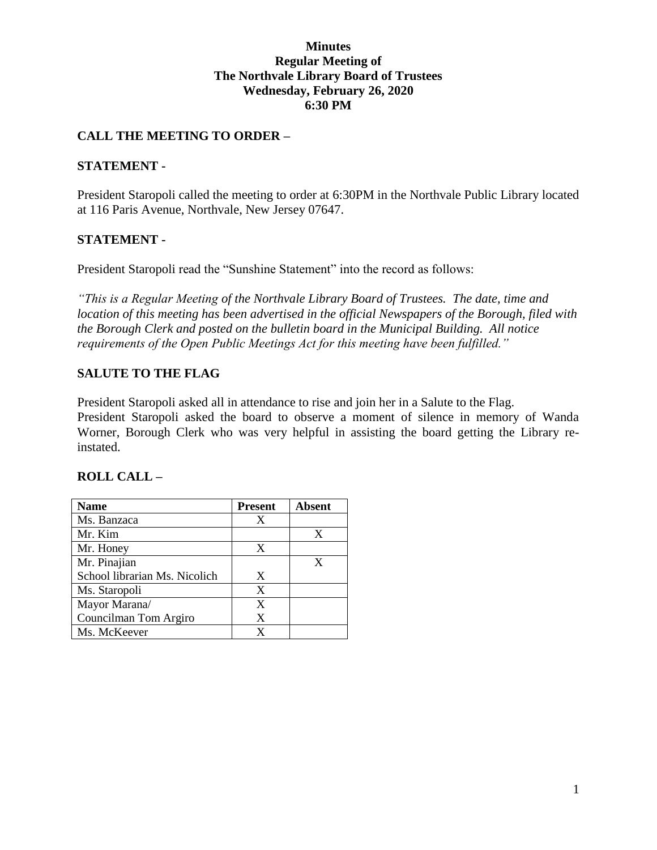### **Minutes Regular Meeting of The Northvale Library Board of Trustees Wednesday, February 26, 2020 6:30 PM**

### **CALL THE MEETING TO ORDER –**

#### **STATEMENT -**

President Staropoli called the meeting to order at 6:30PM in the Northvale Public Library located at 116 Paris Avenue, Northvale, New Jersey 07647.

#### **STATEMENT -**

President Staropoli read the "Sunshine Statement" into the record as follows:

*"This is a Regular Meeting of the Northvale Library Board of Trustees. The date, time and location of this meeting has been advertised in the official Newspapers of the Borough, filed with the Borough Clerk and posted on the bulletin board in the Municipal Building. All notice requirements of the Open Public Meetings Act for this meeting have been fulfilled."* 

### **SALUTE TO THE FLAG**

President Staropoli asked all in attendance to rise and join her in a Salute to the Flag.

President Staropoli asked the board to observe a moment of silence in memory of Wanda Worner, Borough Clerk who was very helpful in assisting the board getting the Library reinstated.

| <b>Name</b>                   | <b>Present</b> | <b>Absent</b> |
|-------------------------------|----------------|---------------|
| Ms. Banzaca                   | X              |               |
| Mr. Kim                       |                | X             |
| Mr. Honey                     | X              |               |
| Mr. Pinajian                  |                | X             |
| School librarian Ms. Nicolich | X              |               |
| Ms. Staropoli                 | X              |               |
| Mayor Marana/                 | X              |               |
| Councilman Tom Argiro         | X              |               |
| Ms. McKeever                  |                |               |

#### **ROLL CALL –**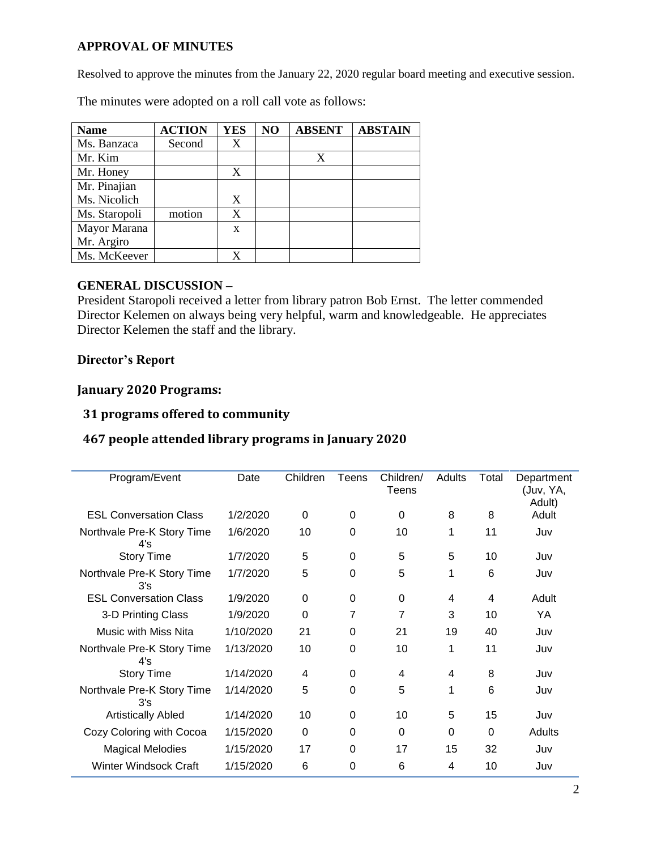### **APPROVAL OF MINUTES**

Resolved to approve the minutes from the January 22, 2020 regular board meeting and executive session.

The minutes were adopted on a roll call vote as follows:

| <b>Name</b>   | <b>ACTION</b> | <b>YES</b> | N <sub>O</sub> | <b>ABSENT</b> | <b>ABSTAIN</b> |
|---------------|---------------|------------|----------------|---------------|----------------|
| Ms. Banzaca   | Second        | X          |                |               |                |
| Mr. Kim       |               |            |                | X             |                |
| Mr. Honey     |               | X          |                |               |                |
| Mr. Pinajian  |               |            |                |               |                |
| Ms. Nicolich  |               | X          |                |               |                |
| Ms. Staropoli | motion        | X          |                |               |                |
| Mayor Marana  |               | X          |                |               |                |
| Mr. Argiro    |               |            |                |               |                |
| Ms. McKeever  |               |            |                |               |                |

### **GENERAL DISCUSSION –**

President Staropoli received a letter from library patron Bob Ernst. The letter commended Director Kelemen on always being very helpful, warm and knowledgeable. He appreciates Director Kelemen the staff and the library.

### **Director's Report**

### **January 2020 Programs:**

### **31 programs offered to community**

### **467 people attended library programs in January 2020**

| Program/Event                     | Date      | Children | Teens    | Children/<br>Teens | Adults | Total    | Department<br>(Juv, YA,<br>Adult) |
|-----------------------------------|-----------|----------|----------|--------------------|--------|----------|-----------------------------------|
| <b>ESL Conversation Class</b>     | 1/2/2020  | $\Omega$ | $\Omega$ | 0                  | 8      | 8        | Adult                             |
| Northvale Pre-K Story Time<br>4's | 1/6/2020  | 10       | 0        | 10                 | 1      | 11       | Juv                               |
| <b>Story Time</b>                 | 1/7/2020  | 5        | $\Omega$ | 5                  | 5      | 10       | Juv                               |
| Northvale Pre-K Story Time<br>3's | 1/7/2020  | 5        | 0        | 5                  | 1      | 6        | Juv                               |
| <b>ESL Conversation Class</b>     | 1/9/2020  | 0        | 0        | 0                  | 4      | 4        | Adult                             |
| 3-D Printing Class                | 1/9/2020  | 0        | 7        | 7                  | 3      | 10       | YA                                |
| Music with Miss Nita              | 1/10/2020 | 21       | 0        | 21                 | 19     | 40       | Juv                               |
| Northvale Pre-K Story Time<br>4's | 1/13/2020 | 10       | 0        | 10                 | 1      | 11       | Juv                               |
| <b>Story Time</b>                 | 1/14/2020 | 4        | 0        | 4                  | 4      | 8        | Juv                               |
| Northvale Pre-K Story Time<br>3's | 1/14/2020 | 5        | 0        | 5                  | 1      | 6        | Juv                               |
| <b>Artistically Abled</b>         | 1/14/2020 | 10       | 0        | 10                 | 5      | 15       | Juv                               |
| Cozy Coloring with Cocoa          | 1/15/2020 | 0        | 0        | 0                  | 0      | $\Omega$ | Adults                            |
| <b>Magical Melodies</b>           | 1/15/2020 | 17       | 0        | 17                 | 15     | 32       | Juv                               |
| Winter Windsock Craft             | 1/15/2020 | 6        | $\Omega$ | 6                  | 4      | 10       | Juv                               |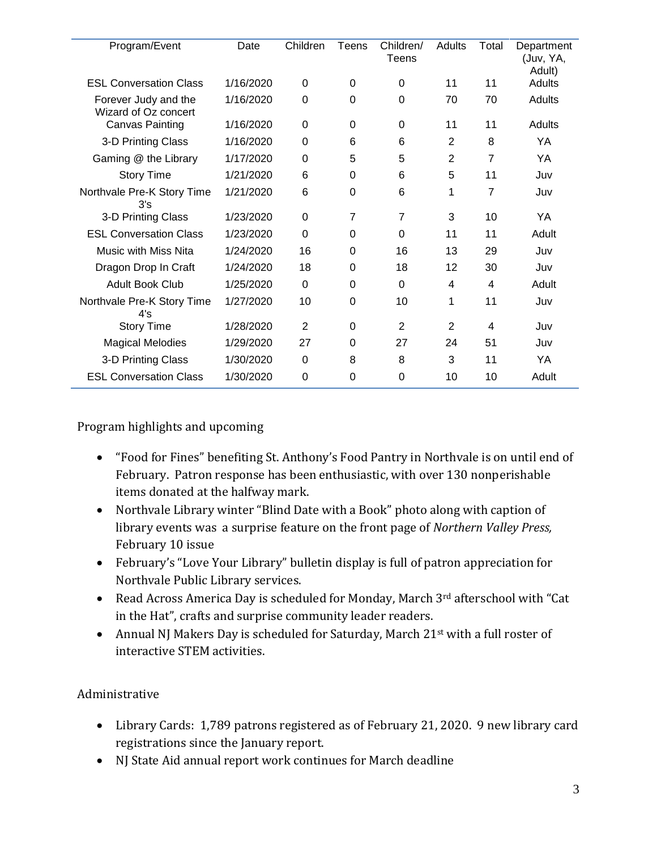| Program/Event                                | Date      | Children | Teens          | Children/<br>Teens | Adults         | Total          | Department<br>(Juv, YA,<br>Adult) |
|----------------------------------------------|-----------|----------|----------------|--------------------|----------------|----------------|-----------------------------------|
| <b>ESL Conversation Class</b>                | 1/16/2020 | 0        | 0              | 0                  | 11             | 11             | Adults                            |
| Forever Judy and the<br>Wizard of Oz concert | 1/16/2020 | 0        | 0              | 0                  | 70             | 70             | Adults                            |
| <b>Canvas Painting</b>                       | 1/16/2020 | 0        | $\Omega$       | 0                  | 11             | 11             | Adults                            |
| 3-D Printing Class                           | 1/16/2020 | $\Omega$ | 6              | 6                  | $\overline{2}$ | 8              | YA                                |
| Gaming @ the Library                         | 1/17/2020 | 0        | 5              | 5                  | 2              | $\overline{7}$ | YA                                |
| <b>Story Time</b>                            | 1/21/2020 | 6        | 0              | 6                  | 5              | 11             | Juv                               |
| Northvale Pre-K Story Time<br>3's            | 1/21/2020 | 6        | 0              | 6                  | 1              | $\overline{7}$ | Juv                               |
| 3-D Printing Class                           | 1/23/2020 | 0        | $\overline{7}$ | 7                  | 3              | 10             | YA                                |
| <b>ESL Conversation Class</b>                | 1/23/2020 | $\Omega$ | 0              | $\Omega$           | 11             | 11             | Adult                             |
| Music with Miss Nita                         | 1/24/2020 | 16       | 0              | 16                 | 13             | 29             | Juv                               |
| Dragon Drop In Craft                         | 1/24/2020 | 18       | 0              | 18                 | 12             | 30             | Juv                               |
| <b>Adult Book Club</b>                       | 1/25/2020 | $\Omega$ | 0              | $\Omega$           | 4              | 4              | Adult                             |
| Northvale Pre-K Story Time<br>4's            | 1/27/2020 | 10       | $\Omega$       | 10                 | 1              | 11             | Juv                               |
| <b>Story Time</b>                            | 1/28/2020 | 2        | 0              | $\overline{2}$     | $\overline{2}$ | 4              | Juv                               |
| <b>Magical Melodies</b>                      | 1/29/2020 | 27       | 0              | 27                 | 24             | 51             | Juv                               |
| 3-D Printing Class                           | 1/30/2020 | $\Omega$ | 8              | 8                  | 3              | 11             | YA                                |
| <b>ESL Conversation Class</b>                | 1/30/2020 | 0        | 0              | $\Omega$           | 10             | 10             | Adult                             |

Program highlights and upcoming

- "Food for Fines" benefiting St. Anthony's Food Pantry in Northvale is on until end of February. Patron response has been enthusiastic, with over 130 nonperishable items donated at the halfway mark.
- Northvale Library winter "Blind Date with a Book" photo along with caption of library events was a surprise feature on the front page of *Northern Valley Press,* February 10 issue
- February's "Love Your Library" bulletin display is full of patron appreciation for Northvale Public Library services.
- Read Across America Day is scheduled for Monday, March 3rd afterschool with "Cat in the Hat", crafts and surprise community leader readers.
- Annual NJ Makers Day is scheduled for Saturday, March 21<sup>st</sup> with a full roster of interactive STEM activities.

# Administrative

- Library Cards: 1,789 patrons registered as of February 21, 2020. 9 new library card registrations since the January report.
- NJ State Aid annual report work continues for March deadline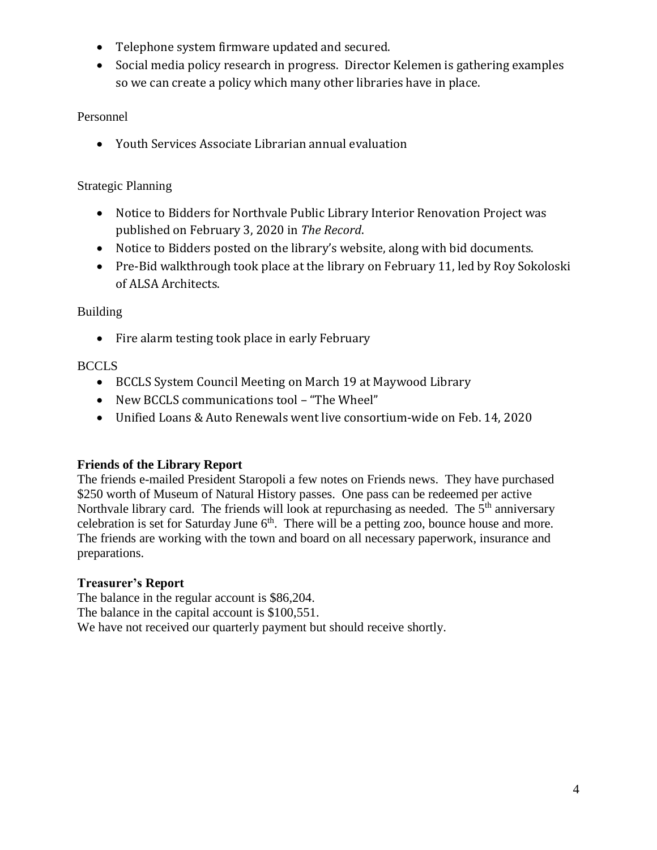- Telephone system firmware updated and secured.
- Social media policy research in progress. Director Kelemen is gathering examples so we can create a policy which many other libraries have in place.

# Personnel

Youth Services Associate Librarian annual evaluation

## Strategic Planning

- Notice to Bidders for Northvale Public Library Interior Renovation Project was published on February 3, 2020 in *The Record*.
- Notice to Bidders posted on the library's website, along with bid documents.
- Pre-Bid walkthrough took place at the library on February 11, led by Roy Sokoloski of ALSA Architects.

## Building

• Fire alarm testing took place in early February

# BCCLS

- BCCLS System Council Meeting on March 19 at Maywood Library
- New BCCLS communications tool "The Wheel"
- Unified Loans & Auto Renewals went live consortium-wide on Feb. 14, 2020

## **Friends of the Library Report**

The friends e-mailed President Staropoli a few notes on Friends news. They have purchased \$250 worth of Museum of Natural History passes. One pass can be redeemed per active Northvale library card. The friends will look at repurchasing as needed. The  $5<sup>th</sup>$  anniversary celebration is set for Saturday June  $6<sup>th</sup>$ . There will be a petting zoo, bounce house and more. The friends are working with the town and board on all necessary paperwork, insurance and preparations.

## **Treasurer's Report**

The balance in the regular account is \$86,204. The balance in the capital account is \$100,551. We have not received our quarterly payment but should receive shortly.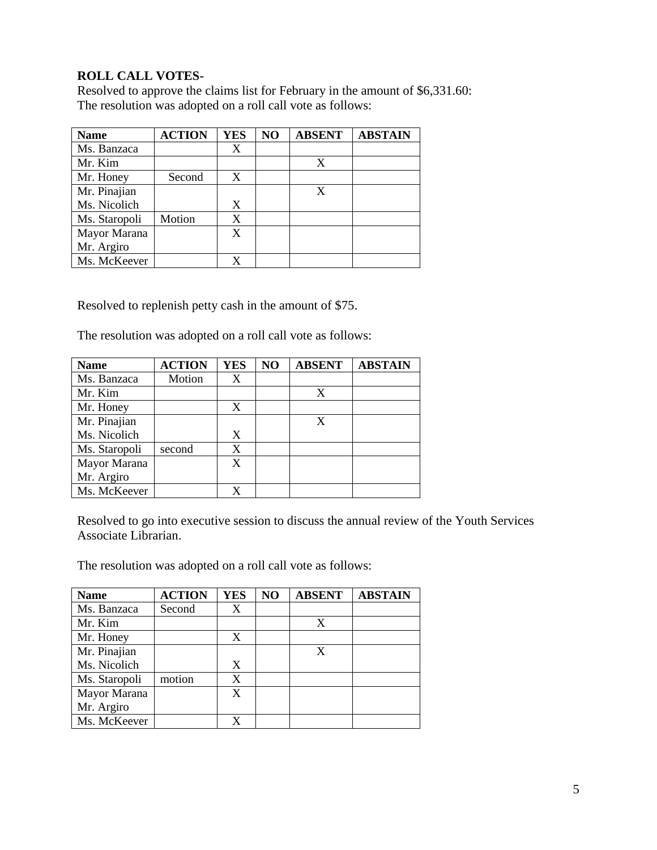### **ROLL CALL VOTES-**

Resolved to approve the claims list for February in the amount of \$6,331.60: The resolution was adopted on a roll call vote as follows:

| <b>Name</b>   | <b>ACTION</b> | <b>YES</b> | NO | <b>ABSENT</b> | <b>ABSTAIN</b> |
|---------------|---------------|------------|----|---------------|----------------|
| Ms. Banzaca   |               | X          |    |               |                |
| Mr. Kim       |               |            |    | X             |                |
| Mr. Honey     | Second        | X          |    |               |                |
| Mr. Pinajian  |               |            |    |               |                |
| Ms. Nicolich  |               | X          |    |               |                |
| Ms. Staropoli | Motion        | X          |    |               |                |
| Mayor Marana  |               | X          |    |               |                |
| Mr. Argiro    |               |            |    |               |                |
| Ms. McKeever  |               |            |    |               |                |

Resolved to replenish petty cash in the amount of \$75.

The resolution was adopted on a roll call vote as follows:

| <b>Name</b>   | <b>ACTION</b> | <b>YES</b> | NO | <b>ABSENT</b> | <b>ABSTAIN</b> |
|---------------|---------------|------------|----|---------------|----------------|
| Ms. Banzaca   | Motion        | X          |    |               |                |
| Mr. Kim       |               |            |    | X             |                |
| Mr. Honey     |               | X          |    |               |                |
| Mr. Pinajian  |               |            |    |               |                |
| Ms. Nicolich  |               | X          |    |               |                |
| Ms. Staropoli | second        | X          |    |               |                |
| Mayor Marana  |               | X          |    |               |                |
| Mr. Argiro    |               |            |    |               |                |
| Ms. McKeever  |               |            |    |               |                |

Resolved to go into executive session to discuss the annual review of the Youth Services Associate Librarian.

The resolution was adopted on a roll call vote as follows:

| <b>Name</b>   | <b>ACTION</b> | <b>YES</b> | NO | <b>ABSENT</b> | <b>ABSTAIN</b> |
|---------------|---------------|------------|----|---------------|----------------|
| Ms. Banzaca   | Second        | X          |    |               |                |
| Mr. Kim       |               |            |    | X             |                |
| Mr. Honey     |               | X          |    |               |                |
| Mr. Pinajian  |               |            |    | X             |                |
| Ms. Nicolich  |               | X          |    |               |                |
| Ms. Staropoli | motion        | X          |    |               |                |
| Mayor Marana  |               | X          |    |               |                |
| Mr. Argiro    |               |            |    |               |                |
| Ms. McKeever  |               | X          |    |               |                |